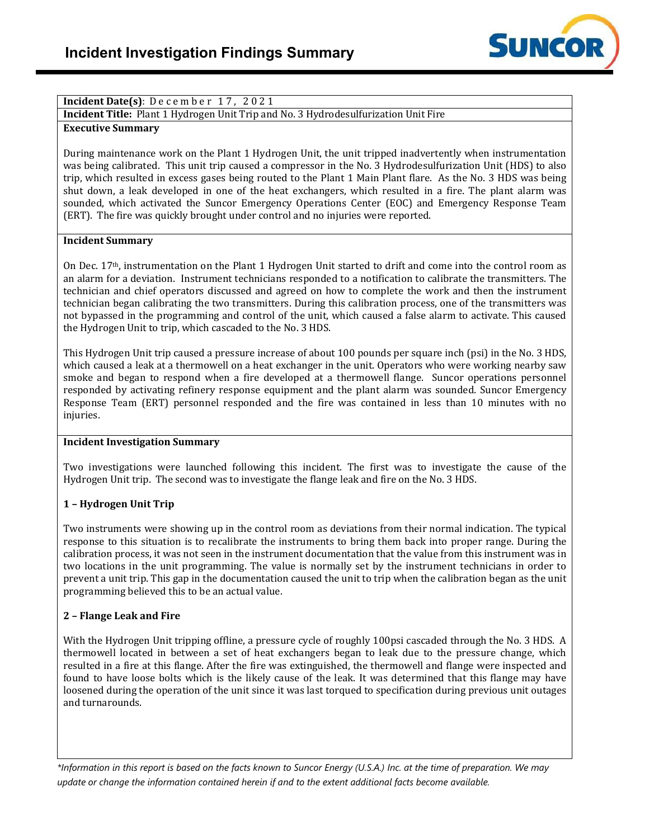

### **Incident Date(s)**: December 17, 2021

**Incident Title:** Plant 1 Hydrogen Unit Trip and No. 3 Hydrodesulfurization Unit Fire

#### **Executive Summary**

During maintenance work on the Plant 1 Hydrogen Unit, the unit tripped inadvertently when instrumentation was being calibrated. This unit trip caused a compressor in the No. 3 Hydrodesulfurization Unit (HDS) to also trip, which resulted in excess gases being routed to the Plant 1 Main Plant flare. As the No. 3 HDS was being shut down, a leak developed in one of the heat exchangers, which resulted in a fire. The plant alarm was sounded, which activated the Suncor Emergency Operations Center (EOC) and Emergency Response Team (ERT). The fire was quickly brought under control and no injuries were reported.

#### **Incident Summary**

On Dec.  $17<sup>th</sup>$ , instrumentation on the Plant 1 Hydrogen Unit started to drift and come into the control room as an alarm for a deviation. Instrument technicians responded to a notification to calibrate the transmitters. The technician and chief operators discussed and agreed on how to complete the work and then the instrument technician began calibrating the two transmitters. During this calibration process, one of the transmitters was not bypassed in the programming and control of the unit, which caused a false alarm to activate. This caused the Hydrogen Unit to trip, which cascaded to the No. 3 HDS.

This Hydrogen Unit trip caused a pressure increase of about 100 pounds per square inch (psi) in the No. 3 HDS, which caused a leak at a thermowell on a heat exchanger in the unit. Operators who were working nearby saw smoke and began to respond when a fire developed at a thermowell flange. Suncor operations personnel responded by activating refinery response equipment and the plant alarm was sounded. Suncor Emergency Response Team (ERT) personnel responded and the fire was contained in less than 10 minutes with no injuries.

#### **Incident Investigation Summary**

Two investigations were launched following this incident. The first was to investigate the cause of the Hydrogen Unit trip. The second was to investigate the flange leak and fire on the No. 3 HDS.

## **1 – Hydrogen Unit Trip**

Two instruments were showing up in the control room as deviations from their normal indication. The typical response to this situation is to recalibrate the instruments to bring them back into proper range. During the calibration process, it was not seen in the instrument documentation that the value from this instrument was in two locations in the unit programming. The value is normally set by the instrument technicians in order to prevent a unit trip. This gap in the documentation caused the unit to trip when the calibration began as the unit programming believed this to be an actual value.

#### **2 – Flange Leak and Fire**

With the Hydrogen Unit tripping offline, a pressure cycle of roughly 100psi cascaded through the No. 3 HDS. A thermowell located in between a set of heat exchangers began to leak due to the pressure change, which resulted in a fire at this flange. After the fire was extinguished, the thermowell and flange were inspected and found to have loose bolts which is the likely cause of the leak. It was determined that this flange may have loosened during the operation of the unit since it was last torqued to specification during previous unit outages and turnarounds.

*\*Information in this report is based on the facts known to Suncor Energy (U.S.A.) Inc. at the time of preparation. We may update or change the information contained herein if and to the extent additional facts become available.*